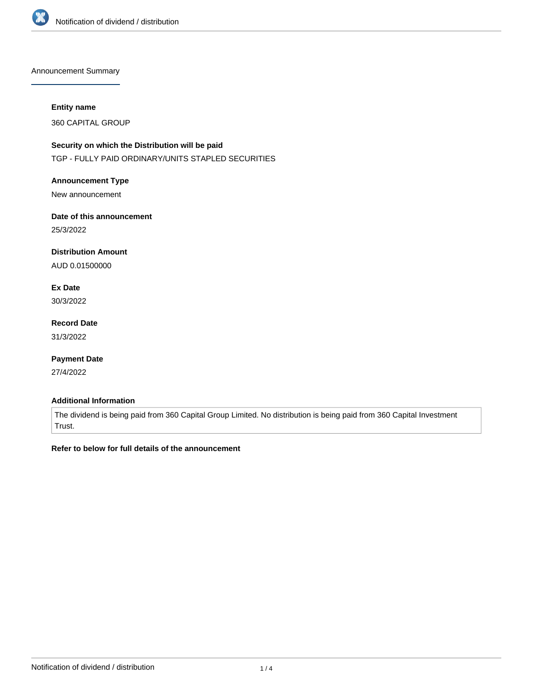

Announcement Summary

#### **Entity name**

360 CAPITAL GROUP

# **Security on which the Distribution will be paid**

TGP - FULLY PAID ORDINARY/UNITS STAPLED SECURITIES

### **Announcement Type**

New announcement

# **Date of this announcement**

25/3/2022

### **Distribution Amount**

AUD 0.01500000

# **Ex Date**

30/3/2022

# **Record Date**

31/3/2022

### **Payment Date**

27/4/2022

### **Additional Information**

The dividend is being paid from 360 Capital Group Limited. No distribution is being paid from 360 Capital Investment Trust.

### **Refer to below for full details of the announcement**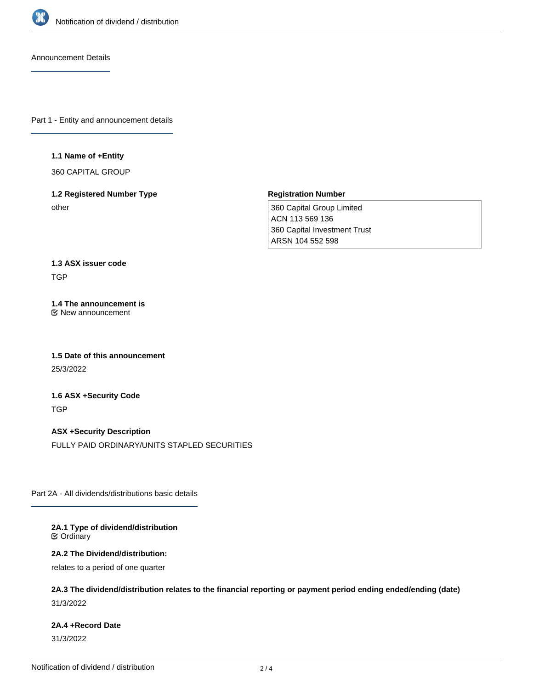

Announcement Details

Part 1 - Entity and announcement details

#### **1.1 Name of +Entity**

360 CAPITAL GROUP

### **1.2 Registered Number Type** other

#### **Registration Number**

360 Capital Group Limited ACN 113 569 136 360 Capital Investment Trust ARSN 104 552 598

# **1.3 ASX issuer code** TGP

**1.4 The announcement is** New announcement

**1.5 Date of this announcement** 25/3/2022

**1.6 ASX +Security Code TGP** 

**ASX +Security Description** FULLY PAID ORDINARY/UNITS STAPLED SECURITIES

Part 2A - All dividends/distributions basic details

**2A.1 Type of dividend/distribution**  $}$  Ordinary

**2A.2 The Dividend/distribution:**

relates to a period of one quarter

**2A.3 The dividend/distribution relates to the financial reporting or payment period ending ended/ending (date)**

31/3/2022

# **2A.4 +Record Date**

31/3/2022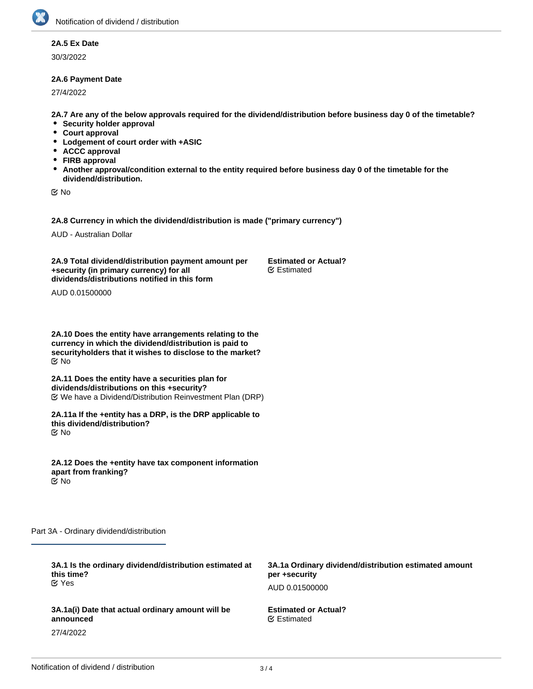### **2A.5 Ex Date**

30/3/2022

### **2A.6 Payment Date**

27/4/2022

**2A.7 Are any of the below approvals required for the dividend/distribution before business day 0 of the timetable?**

- **Security holder approval**
- $\bullet$ **Court approval**
- $\bullet$ **Lodgement of court order with +ASIC**
- **ACCC approval**
- $\bullet$ **FIRB approval**
- **Another approval/condition external to the entity required before business day 0 of the timetable for the dividend/distribution.**

**EX No** 

**2A.8 Currency in which the dividend/distribution is made ("primary currency")**

AUD - Australian Dollar

**2A.9 Total dividend/distribution payment amount per +security (in primary currency) for all dividends/distributions notified in this form**

**Estimated or Actual?** Estimated

AUD 0.01500000

**2A.10 Does the entity have arrangements relating to the currency in which the dividend/distribution is paid to securityholders that it wishes to disclose to the market?** No

**2A.11 Does the entity have a securities plan for dividends/distributions on this +security?** We have a Dividend/Distribution Reinvestment Plan (DRP)

**2A.11a If the +entity has a DRP, is the DRP applicable to this dividend/distribution?** No

**2A.12 Does the +entity have tax component information apart from franking?** No

**3A.1b Ordinary Dividend/distribution amount per**

Part 3A - Ordinary dividend/distribution

| 3A.1 Is the ordinary dividend/distribution estimated at<br>this time?<br>$\alpha$ Yes | 3A.1a Ordinary dividend/distribution estimated amount<br>per +security |
|---------------------------------------------------------------------------------------|------------------------------------------------------------------------|
|                                                                                       | AUD 0.01500000                                                         |
| 3A.1a(i) Date that actual ordinary amount will be<br>announced                        | <b>Estimated or Actual?</b><br><b></b> Estimated                       |
| 27/4/2022                                                                             |                                                                        |